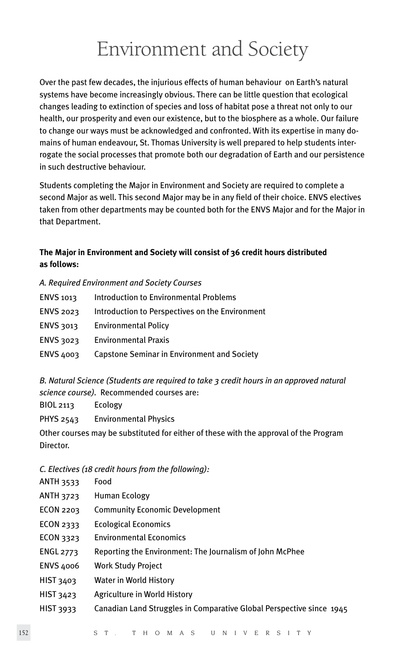# Environment and Society

Over the past few decades, the injurious effects of human behaviour on Earth's natural systems have become increasingly obvious. There can be little question that ecological changes leading to extinction of species and loss of habitat pose a threat not only to our health, our prosperity and even our existence, but to the biosphere as a whole. Our failure to change our ways must be acknowledged and confronted. With its expertise in many domains of human endeavour, St. Thomas University is well prepared to help students interrogate the social processes that promote both our degradation of Earth and our persistence in such destructive behaviour.

Students completing the Major in Environment and Society are required to complete a second Major as well. This second Major may be in any field of their choice. ENVS electives taken from other departments may be counted both for the ENVS Major and for the Major in that Department.

# **The Major in Environment and Society will consist of 36 credit hours distributed as follows:**

### *A. Required Environment and Society Courses*

| ENVS 1013        | <b>Introduction to Environmental Problems</b>   |
|------------------|-------------------------------------------------|
| <b>ENVS 2023</b> | Introduction to Perspectives on the Environment |
| ENVS 3013        | <b>Environmental Policy</b>                     |
| ENVS 3023        | <b>Environmental Praxis</b>                     |
| <b>ENVS 4003</b> | Capstone Seminar in Environment and Society     |

*B. Natural Science (Students are required to take 3 credit hours in an approved natural science course).* Recommended courses are:

BIOL 2113 Ecology

PHYS 2543 Environmental Physics

Other courses may be substituted for either of these with the approval of the Program Director.

## *C. Electives (18 credit hours from the following):*

- ANTH 3533 Food
- ANTH 3723 Human Ecology
- ECON 2203 Community Economic Development
- ECON 2333 Ecological Economics
- ECON 3323 Environmental Economics
- ENGL 2773 Reporting the Environment: The Journalism of John McPhee
- ENVS 4006 Work Study Project
- HIST 3403 Water in World History
- HIST 3423 Agriculture in World History
- HIST 3933 Canadian Land Struggles in Comparative Global Perspective since 1945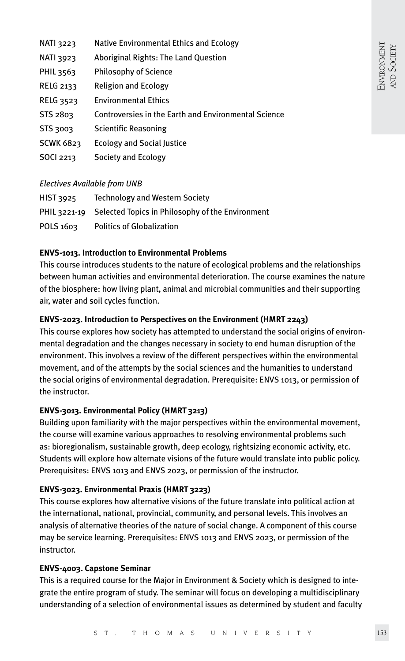| <b>NATI 3223</b> | Native Environmental Ethics and Ecology              |
|------------------|------------------------------------------------------|
| <b>NATI 3923</b> | Aboriginal Rights: The Land Question                 |
| PHIL 3563        | <b>Philosophy of Science</b>                         |
| RELG 2133        | <b>Religion and Ecology</b>                          |
| <b>RELG 3523</b> | <b>Environmental Ethics</b>                          |
| STS 2803         | Controversies in the Earth and Environmental Science |
| STS 3003         | Scientific Reasoning                                 |
| <b>SCWK 6823</b> | <b>Ecology and Social Justice</b>                    |
| <b>SOCI 2213</b> | Society and Ecology                                  |
|                  |                                                      |

### *Electives Available from UNB*

| HIST 3925 | <b>Technology and Western Society</b>                         |
|-----------|---------------------------------------------------------------|
|           | PHIL 3221-19 Selected Topics in Philosophy of the Environment |
| POLS 1603 | <b>Politics of Globalization</b>                              |

## **ENVS-1013. Introduction to Environmental Problems**

This course introduces students to the nature of ecological problems and the relationships between human activities and environmental deterioration. The course examines the nature of the biosphere: how living plant, animal and microbial communities and their supporting air, water and soil cycles function.

# **ENVS-2023. Introduction to Perspectives on the Environment (HMRT 2243)**

This course explores how society has attempted to understand the social origins of environmental degradation and the changes necessary in society to end human disruption of the environment. This involves a review of the different perspectives within the environmental movement, and of the attempts by the social sciences and the humanities to understand the social origins of environmental degradation. Prerequisite: ENVS 1013, or permission of the instructor.

## **ENVS-3013. Environmental Policy (HMRT 3213)**

Building upon familiarity with the major perspectives within the environmental movement, the course will examine various approaches to resolving environmental problems such as: bioregionalism, sustainable growth, deep ecology, rightsizing economic activity, etc. Students will explore how alternate visions of the future would translate into public policy. Prerequisites: ENVS 1013 and ENVS 2023, or permission of the instructor.

## **ENVS-3023. Environmental Praxis (HMRT 3223)**

This course explores how alternative visions of the future translate into political action at the international, national, provincial, community, and personal levels. This involves an analysis of alternative theories of the nature of social change. A component of this course may be service learning. Prerequisites: ENVS 1013 and ENVS 2023, or permission of the instructor.

## **ENVS-4003. Capstone Seminar**

This is a required course for the Major in Environment & Society which is designed to integrate the entire program of study. The seminar will focus on developing a multidisciplinary understanding of a selection of environmental issues as determined by student and faculty